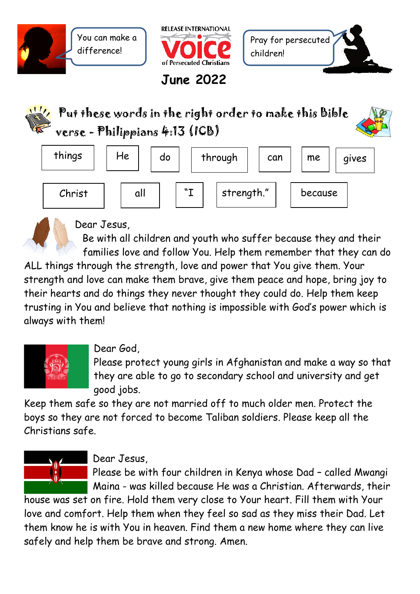



**June 2022**

**Contract Contract Contract Contract Contract Contract Contract Contract Contract Contract Contract Contract Contract Contract Contract Contract Contract Contract Contract Contract Contract Contract Contract Contract Contr** 



Put these words in the right order to make this Bible verse - Philippians 4:13 (ICB)



Dear Jesus,

Be with all children and youth who suffer because they and their families love and follow You. Help them remember that they can do

ALL things through the strength, love and power that You give them. Your strength and love can make them brave, give them peace and hope, bring joy to their hearts and do things they never thought they could do. Help them keep trusting in You and believe that nothing is impossible with God's power which is always with them!



## Dear God,

Please protect young girls in Afghanistan and make a way so that they are able to go to secondary school and university and get good jobs.

Keep them safe so they are not married off to much older men. Protect the boys so they are not forced to become Taliban soldiers. Please keep all the Christians safe.



## Dear Jesus,

Please be with four children in Kenya whose Dad – called Mwangi Maina - was killed because He was a Christian. Afterwards, their

house was set on fire. Hold them very close to Your heart. Fill them with Your love and comfort. Help them when they feel so sad as they miss their Dad. Let them know he is with You in heaven. Find them a new home where they can live safely and help them be brave and strong. Amen.